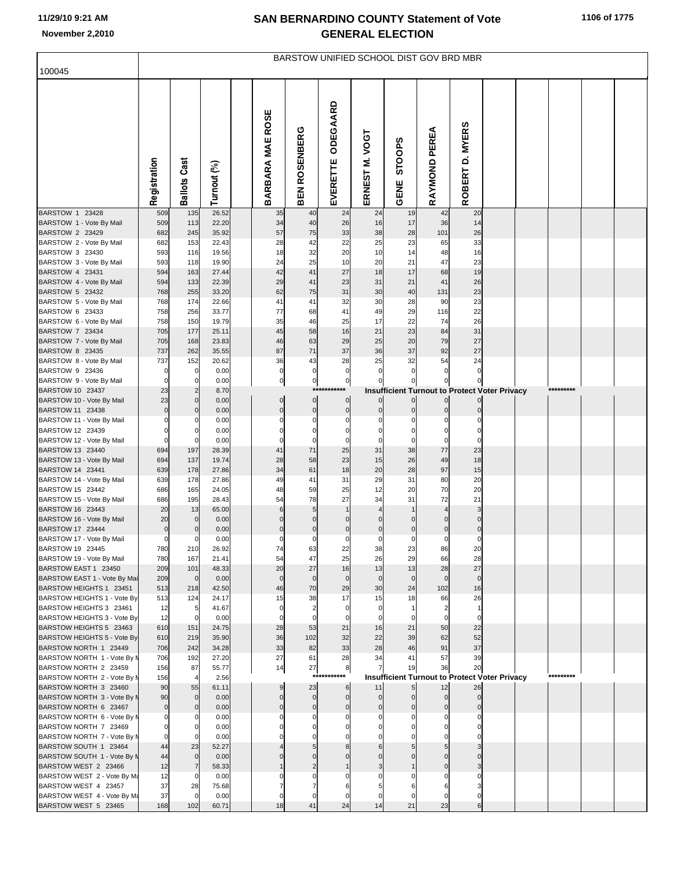## **SAN BERNARDINO COUNTY Statement of Vote November 2,2010 GENERAL ELECTION**

| 100045                                                 | BARSTOW UNIFIED SCHOOL DIST GOV BRD MBR |                             |                |  |                         |                         |                               |                      |                |                                                           |                             |  |           |  |
|--------------------------------------------------------|-----------------------------------------|-----------------------------|----------------|--|-------------------------|-------------------------|-------------------------------|----------------------|----------------|-----------------------------------------------------------|-----------------------------|--|-----------|--|
|                                                        |                                         |                             |                |  |                         |                         |                               |                      |                |                                                           |                             |  |           |  |
|                                                        | Registration                            | <b>Ballots Cast</b>         | Turnout (%)    |  | BARBARA MAE ROSE        | <b>ROSENBERG</b><br>BEN | ODEGAARD<br>EVERETTE          | ERNEST M. VOGT       | STOOPS<br>GENE | <b>PEREA</b><br>RAYMOND                                   | <b>MYERS</b><br>ة<br>ROBERT |  |           |  |
| BARSTOW 1 23428<br>BARSTOW 1 - Vote By Mail            | 509<br>509                              | 135<br>113                  | 26.52<br>22.20 |  | 35<br>34                | 40<br>40                | 24<br>26                      | 24<br>16             | 19<br>17       | 42<br>36                                                  | 20<br>14                    |  |           |  |
| BARSTOW 2 23429                                        | 682                                     | 245                         | 35.92          |  | 57                      | 75                      | 33                            | 38                   | 28             | 101                                                       | 26                          |  |           |  |
| BARSTOW 2 - Vote By Mail                               | 682                                     | 153                         | 22.43          |  | 28                      | 42                      | 22                            | 25                   | 23             | 65                                                        | 33                          |  |           |  |
| BARSTOW 3 23430                                        | 593                                     | 116                         | 19.56          |  | 18                      | 32                      | 20                            | 10                   | 14             | 48<br>47                                                  | 16                          |  |           |  |
| BARSTOW 3 - Vote By Mail<br>BARSTOW 4 23431            | 593<br>594                              | 118<br>163                  | 19.90<br>27.44 |  | 24<br>42                | 25<br>41                | 10<br>27                      | 20<br>18             | 21<br>17       | 68                                                        | 23<br>19                    |  |           |  |
| BARSTOW 4 - Vote By Mail                               | 594                                     | 133                         | 22.39          |  | 29                      | 41                      | 23                            | 31                   | 21             | 41                                                        | 26                          |  |           |  |
| BARSTOW 5 23432                                        | 768                                     | 255                         | 33.20          |  | 62                      | 75                      | 31                            | 30                   | 40             | 131                                                       | 23                          |  |           |  |
| BARSTOW 5 - Vote By Mail                               | 768                                     | 174                         | 22.66          |  | 41                      | 41                      | 32                            | 30                   | 28             | 90                                                        | 23                          |  |           |  |
| BARSTOW 6 23433                                        | 758                                     | 256                         | 33.77          |  | 77<br>35                | 68<br>46                | 41                            | 49<br>17             | 29<br>22       | 116<br>74                                                 | 22<br>26                    |  |           |  |
| BARSTOW 6 - Vote By Mail<br>BARSTOW 7 23434            | 758<br>705                              | 150<br>177                  | 19.79<br>25.11 |  | 45                      | 58                      | 25<br>16                      | 21                   | 23             | 84                                                        | 31                          |  |           |  |
| BARSTOW 7 - Vote By Mail                               | 705                                     | 168                         | 23.83          |  | 46                      | 63                      | 29                            | 25                   | 20             | 79                                                        | 27                          |  |           |  |
| BARSTOW 8 23435                                        | 737                                     | 262                         | 35.55          |  | 87                      | 71                      | 37                            | 36                   | 37             | 92                                                        | 27                          |  |           |  |
| BARSTOW 8 - Vote By Mail                               | 737                                     | 152                         | 20.62          |  | 36                      | 43                      | 28                            | 25                   | 32             | 54                                                        | 24                          |  |           |  |
| BARSTOW 9 23436                                        | $\mathbf 0$<br>$\Omega$                 | $\overline{0}$              | 0.00           |  | $\overline{0}$          | $\mathbf 0$             | $\overline{0}$                | 0                    | $\mathbf 0$    | $\Omega$                                                  | $\Omega$                    |  |           |  |
| BARSTOW 9 - Vote By Mail<br>BARSTOW 10 23437           | 23                                      | $\mathbf 0$<br>$\mathbf{2}$ | 0.00<br>8.70   |  | $\mathbf{0}$            | $\overline{0}$          | $\overline{0}$<br>*****       |                      | 0              | 0<br><b>Insufficient Turnout to Protect Voter Privacy</b> |                             |  | ********* |  |
| BARSTOW 10 - Vote By Mail                              | 23                                      | $\overline{0}$              | 0.00           |  | $\overline{0}$          | $\overline{0}$          | $\overline{0}$                | $\overline{0}$       | $\mathbf 0$    | $\overline{0}$                                            | 0                           |  |           |  |
| BARSTOW 11 23438                                       | $\overline{0}$                          | $\overline{0}$              | 0.00           |  | $\overline{0}$          | $\overline{0}$          | $\overline{0}$                | $\overline{0}$       | $\mathbf{0}$   | $\mathbf{0}$                                              |                             |  |           |  |
| BARSTOW 11 - Vote By Mail                              |                                         |                             | 0.00           |  | $\Omega$                | $\Omega$                | $\overline{0}$                | $\Omega$             |                |                                                           |                             |  |           |  |
| BARSTOW 12 23439                                       | C<br>$\Omega$                           | $\mathbf 0$<br>$\mathbf 0$  | 0.00<br>0.00   |  | $\mathbf 0$<br>$\Omega$ | 0<br>$\Omega$           | $\overline{0}$<br>$\mathbf 0$ | 0<br>$\Omega$        | 0<br>$\Omega$  | 0<br>$\mathbf 0$                                          |                             |  |           |  |
| BARSTOW 12 - Vote By Mail<br>BARSTOW 13 23440          | 694                                     | 197                         | 28.39          |  | 41                      | 71                      | 25                            | 31                   | 38             | 77                                                        | 23                          |  |           |  |
| BARSTOW 13 - Vote By Mail                              | 694                                     | 137                         | 19.74          |  | 28                      | 58                      | 23                            | 15                   | 26             | 49                                                        | 18                          |  |           |  |
| BARSTOW 14 23441                                       | 639                                     | 178                         | 27.86          |  | 34                      | 61                      | 18                            | 20                   | 28             | 97                                                        | 15                          |  |           |  |
| BARSTOW 14 - Vote By Mail                              | 639                                     | 178                         | 27.86          |  | 49                      | 41                      | 31                            | 29                   | 31             | 80                                                        | 20                          |  |           |  |
| BARSTOW 15 23442                                       | 686<br>686                              | 165<br>195                  | 24.05<br>28.43 |  | 48<br>54                | 59<br>78                | 25<br>27                      | 12<br>34             | 20<br>31       | 70<br>72                                                  | 20<br>21                    |  |           |  |
| BARSTOW 15 - Vote By Mail<br>BARSTOW 16 23443          | 20                                      | 13                          | 65.00          |  | 6                       | 5                       | $\mathbf{1}$                  | $\overline{4}$       |                | $\overline{4}$                                            | 3                           |  |           |  |
| BARSTOW 16 - Vote By Mail                              | 20                                      | $\mathbf{0}$                | 0.00           |  | $\Omega$                | $\mathbf 0$             | $\overline{0}$                | $\Omega$             | $\Omega$       | $\Omega$                                                  | $\Omega$                    |  |           |  |
| BARSTOW 17 23444                                       | $\mathbf 0$                             | $\mathbf{0}$                | 0.00           |  | $\mathbf 0$             | 0                       | $\overline{0}$                | $\mathbf 0$          | $\mathbf 0$    | $\overline{0}$                                            | 0                           |  |           |  |
| BARSTOW 17 - Vote By Mail                              | 0                                       | $\mathbf 0$                 | 0.00           |  | $\mathbf 0$             | $\Omega$                | $\overline{0}$                | $\Omega$             | $\Omega$       | $\Omega$                                                  | O                           |  |           |  |
| BARSTOW 19 23445<br>BARSTOW 19 - Vote By Mail          | 780<br>780                              | 210<br>167                  | 26.92<br>21.41 |  | 74<br>54                | 63<br>47                | 22<br>25                      | 38<br>26             | 23<br>29       | 86<br>66                                                  | 20<br>28                    |  |           |  |
| BARSTOW EAST 1 23450                                   | 209                                     | 101                         | 48.33          |  | 20                      | 27                      | 16                            | 13                   | 13             | 28                                                        | 27                          |  |           |  |
| BARSTOW EAST 1 - Vote By Mai                           | 209                                     | $\overline{0}$              | 0.00           |  | $\mathbf 0$             | $\mathbf 0$             | $\overline{0}$                | $\overline{0}$       | $\mathbf 0$    | $\overline{0}$                                            | $\Omega$                    |  |           |  |
| BARSTOW HEIGHTS 1 23451                                | 513                                     | 218                         | 42.50          |  | 46                      | 70                      | 29                            | 30                   | 24             | 102                                                       | 16                          |  |           |  |
| BARSTOW HEIGHTS 1 - Vote By                            | 513                                     | 124                         | 24.17          |  | 15                      | 38                      | 17                            | 15                   | 18             | 66                                                        | 26                          |  |           |  |
| BARSTOW HEIGHTS 3 23461<br>BARSTOW HEIGHTS 3 - Vote By | 12<br>12                                | 5<br>$\Omega$               | 41.67<br>0.00  |  | $\mathbf 0$<br>$\Omega$ | $\Omega$                | $\overline{0}$<br>$\mathbf 0$ | 0<br>$\Omega$        |                | 2                                                         | $\Omega$                    |  |           |  |
| BARSTOW HEIGHTS 5 23463                                | 610                                     | 151                         | 24.75          |  | 28                      | 53                      | 21                            | 16                   | 21             | 50                                                        | 22                          |  |           |  |
| BARSTOW HEIGHTS 5 - Vote By                            | 610                                     | 219                         | 35.90          |  | 36                      | 102                     | 32                            | 22                   | 39             | 62                                                        | 52                          |  |           |  |
| BARSTOW NORTH 1 23449                                  | 706                                     | 242                         | 34.28          |  | 33                      | 82                      | 33                            | 28                   | 46             | 91                                                        | 37                          |  |           |  |
| BARSTOW NORTH 1 - Vote By N<br>BARSTOW NORTH 2 23459   | 706<br>156                              | 192<br>87                   | 27.20<br>55.77 |  | 27<br>14                | 61<br>27                | 28<br>8                       | 34<br>$\overline{7}$ | 41<br>19       | 57<br>36                                                  | 39<br>20                    |  |           |  |
| BARSTOW NORTH 2 - Vote By M                            | 156                                     |                             | 2.56           |  |                         | $***$                   | r#*                           |                      |                | <b>Insufficient Turnout to Protect Voter Privacy</b>      |                             |  | ********* |  |
| BARSTOW NORTH 3 23460                                  | 90                                      | 55                          | 61.11          |  | 9                       | 23                      | 6                             | 11                   | 5 <sub>l</sub> | 12                                                        | 26                          |  |           |  |
| BARSTOW NORTH 3 - Vote By N                            | 90                                      | $\mathbf{0}$                | 0.00           |  | $\Omega$                | $\overline{0}$          | $\overline{0}$                | $\Omega$             | $\mathbf{0}$   | $\Omega$                                                  | $\mathbf 0$                 |  |           |  |
| BARSTOW NORTH 6 23467                                  | $\mathbf 0$                             | $\overline{0}$              | 0.00           |  | $\mathbf{0}$            | $\overline{0}$          | $\overline{0}$                | $\Omega$             |                | $\Omega$                                                  |                             |  |           |  |
| BARSTOW NORTH 6 - Vote By M<br>BARSTOW NORTH 7 23469   |                                         | $\mathbf 0$                 | 0.00<br>0.00   |  |                         |                         |                               |                      |                |                                                           |                             |  |           |  |
| BARSTOW NORTH 7 - Vote By M                            | $\Omega$                                | $\Omega$                    | 0.00           |  |                         |                         |                               |                      |                |                                                           |                             |  |           |  |
| BARSTOW SOUTH 1 23464                                  | 44                                      | 23                          | 52.27          |  |                         |                         |                               |                      |                |                                                           |                             |  |           |  |
| BARSTOW SOUTH 1 - Vote By N                            | 44                                      | $\Omega$                    | 0.00           |  |                         |                         |                               |                      |                |                                                           |                             |  |           |  |
| BARSTOW WEST 2 23466                                   | 12                                      | $\overline{7}$              | 58.33          |  |                         |                         |                               |                      |                |                                                           |                             |  |           |  |
| BARSTOW WEST 2 - Vote By Ma                            | 12<br>37                                | $\Omega$                    | 0.00           |  |                         |                         |                               |                      |                |                                                           |                             |  |           |  |
| BARSTOW WEST 4 23457<br>BARSTOW WEST 4 - Vote By Ma    | 37                                      | 28<br>$\Omega$              | 75.68<br>0.00  |  | $\Omega$                | $\Omega$                | $\mathbf 0$                   | 0                    |                | $\Omega$                                                  |                             |  |           |  |
| BARSTOW WEST 5 23465                                   | 168                                     | 102                         | 60.71          |  | 18                      | 41                      | 24                            | 14                   | 21             | 23                                                        |                             |  |           |  |